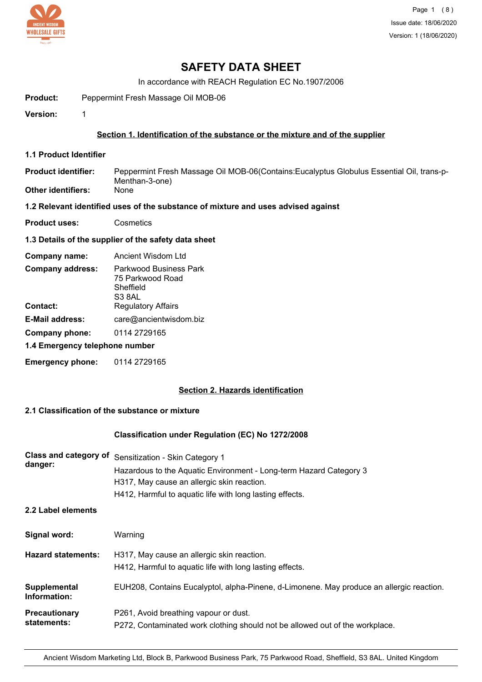

# **SAFETY DATA SHEET**

In accordance with REACH Regulation EC No.1907/2006

**Product:** Peppermint Fresh Massage Oil MOB-06

**Version:** 1

# **Section 1. Identification of the substance or the mixture and of the supplier**

**1.1 Product Identifier**

Peppermint Fresh Massage Oil MOB-06(Contains:Eucalyptus Globulus Essential Oil, trans-p-Menthan-3-one)<br>None **Product identifier: Other identifiers:** 

**1.2 Relevant identified uses of the substance of mixture and uses advised against**

**Product uses:** Cosmetics

## **1.3 Details of the supplier of the safety data sheet**

| Company name:           | Ancient Wisdom Ltd     |
|-------------------------|------------------------|
| <b>Company address:</b> | Parkwood Business Park |

|                                | 75 Parkwood Road          |  |
|--------------------------------|---------------------------|--|
|                                | Sheffield                 |  |
|                                | S <sub>3</sub> 8AL        |  |
| <b>Contact:</b>                | <b>Regulatory Affairs</b> |  |
| <b>E-Mail address:</b>         | care@ancientwisdom.biz    |  |
| 0114 2729165<br>Company phone: |                           |  |
| 1.4 Emergency telephone number |                           |  |

**Emergency phone:** 0114 2729165

## **Section 2. Hazards identification**

## **2.1 Classification of the substance or mixture**

## **Classification under Regulation (EC) No 1272/2008**

| Class and category of<br>danger: | Sensitization - Skin Category 1<br>Hazardous to the Aquatic Environment - Long-term Hazard Category 3<br>H317, May cause an allergic skin reaction.<br>H412, Harmful to aquatic life with long lasting effects. |
|----------------------------------|-----------------------------------------------------------------------------------------------------------------------------------------------------------------------------------------------------------------|
| 2.2 Label elements               |                                                                                                                                                                                                                 |
| Signal word:                     | Warning                                                                                                                                                                                                         |
| <b>Hazard statements:</b>        | H317, May cause an allergic skin reaction.<br>H412, Harmful to aquatic life with long lasting effects.                                                                                                          |
| Supplemental<br>Information:     | EUH208, Contains Eucalyptol, alpha-Pinene, d-Limonene. May produce an allergic reaction.                                                                                                                        |
| Precautionary<br>statements:     | P261, Avoid breathing vapour or dust.<br>P272, Contaminated work clothing should not be allowed out of the workplace.                                                                                           |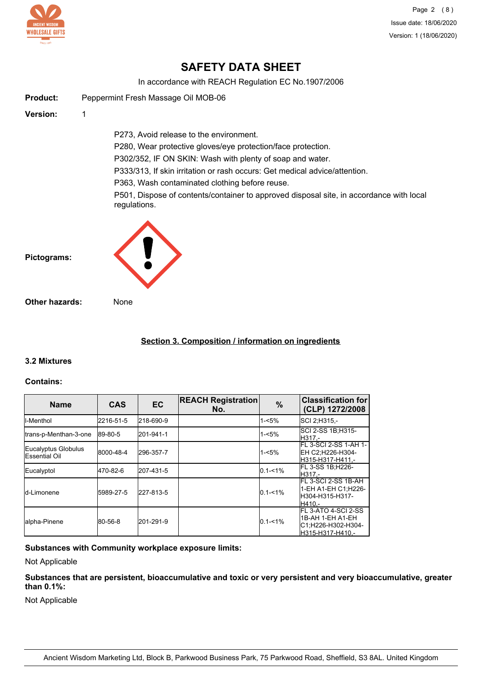

Page 2 (8) Issue date: 18/06/2020 Version: 1 (18/06/2020)

# **SAFETY DATA SHEET**

In accordance with REACH Regulation EC No.1907/2006

| <b>Product:</b> | Peppermint Fresh Massage Oil MOB-06                                                                                       |
|-----------------|---------------------------------------------------------------------------------------------------------------------------|
| Version:        | 1                                                                                                                         |
|                 | P273, Avoid release to the environment.                                                                                   |
|                 | P280, Wear protective gloves/eye protection/face protection.<br>P302/352, IF ON SKIN: Wash with plenty of soap and water. |
|                 | P333/313, If skin irritation or rash occurs: Get medical advice/attention.                                                |
|                 | P363, Wash contaminated clothing before reuse.                                                                            |
|                 | P501, Dispose of contents/container to approved disposal site, in accordance with local<br>regulations.                   |
| Pictograms:     |                                                                                                                           |

**Other hazards:** None

# **Section 3. Composition / information on ingredients**

## **3.2 Mixtures**

#### **Contains:**

| <b>Name</b>                                  | <b>CAS</b> | <b>EC</b> | <b>REACH Registration</b><br>No. | $\%$        | <b>Classification for</b><br>(CLP) 1272/2008                                              |
|----------------------------------------------|------------|-----------|----------------------------------|-------------|-------------------------------------------------------------------------------------------|
| ll-Menthol                                   | 2216-51-5  | 218-690-9 |                                  | $1 - 5%$    | SCI 2, H315,-                                                                             |
| trans-p-Menthan-3-one                        | 89-80-5    | 201-941-1 |                                  | $1 - 5%$    | SCI 2-SS 1B:H315-<br>H317.-                                                               |
| Eucalyptus Globulus<br><b>IEssential Oil</b> | 8000-48-4  | 296-357-7 |                                  | $1 - 5%$    | FL 3-SCI 2-SS 1-AH 1-<br>EH C2:H226-H304-<br>H315-H317-H411.-                             |
| Eucalyptol                                   | 470-82-6   | 207-431-5 |                                  | $0.1 - 1\%$ | FL 3-SS 1B;H226-<br>H317.-                                                                |
| Id-Limonene                                  | 5989-27-5  | 227-813-5 |                                  | $0.1 - 1\%$ | FL 3-SCI 2-SS 1B-AH<br>1-EH A1-EH C1:H226-<br>H304-H315-H317-<br>H410.-                   |
| alpha-Pinene                                 | 80-56-8    | 201-291-9 |                                  | $0.1 - 1\%$ | <b>IFL 3-ATO 4-SCI 2-SS</b><br>1B-AH 1-EH A1-EH<br>C1:H226-H302-H304-<br>H315-H317-H410.- |

# **Substances with Community workplace exposure limits:**

Not Applicable

**Substances that are persistent, bioaccumulative and toxic or very persistent and very bioaccumulative, greater than 0.1%:**

Not Applicable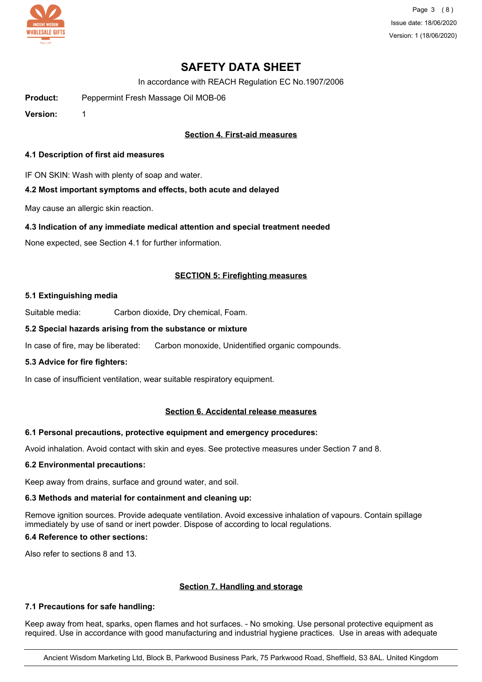

Page 3 (8) Issue date: 18/06/2020 Version: 1 (18/06/2020)

# **SAFETY DATA SHEET**

In accordance with REACH Regulation EC No.1907/2006

**Product:** Peppermint Fresh Massage Oil MOB-06

**Version:** 1

# **Section 4. First-aid measures**

#### **4.1 Description of first aid measures**

IF ON SKIN: Wash with plenty of soap and water.

## **4.2 Most important symptoms and effects, both acute and delayed**

May cause an allergic skin reaction.

## **4.3 Indication of any immediate medical attention and special treatment needed**

None expected, see Section 4.1 for further information.

## **SECTION 5: Firefighting measures**

#### **5.1 Extinguishing media**

Suitable media: Carbon dioxide, Dry chemical, Foam.

## **5.2 Special hazards arising from the substance or mixture**

In case of fire, may be liberated: Carbon monoxide, Unidentified organic compounds.

## **5.3 Advice for fire fighters:**

In case of insufficient ventilation, wear suitable respiratory equipment.

## **Section 6. Accidental release measures**

## **6.1 Personal precautions, protective equipment and emergency procedures:**

Avoid inhalation. Avoid contact with skin and eyes. See protective measures under Section 7 and 8.

#### **6.2 Environmental precautions:**

Keep away from drains, surface and ground water, and soil.

## **6.3 Methods and material for containment and cleaning up:**

Remove ignition sources. Provide adequate ventilation. Avoid excessive inhalation of vapours. Contain spillage immediately by use of sand or inert powder. Dispose of according to local regulations.

# **6.4 Reference to other sections:**

Also refer to sections 8 and 13.

## **Section 7. Handling and storage**

## **7.1 Precautions for safe handling:**

Keep away from heat, sparks, open flames and hot surfaces. - No smoking. Use personal protective equipment as required. Use in accordance with good manufacturing and industrial hygiene practices. Use in areas with adequate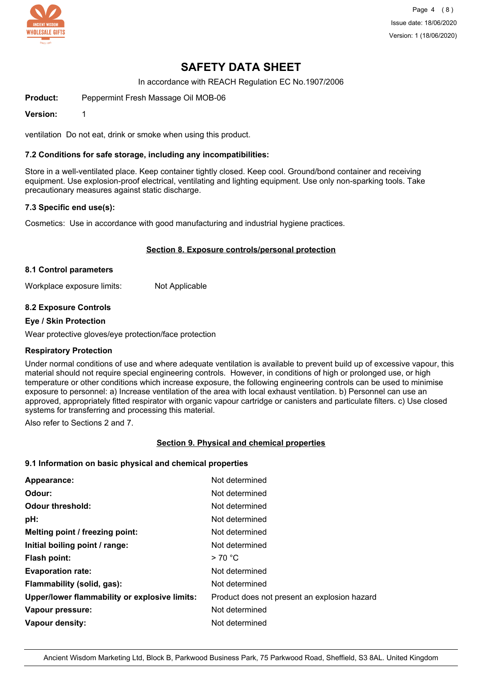

Page 4 (8) Issue date: 18/06/2020 Version: 1 (18/06/2020)

# **SAFETY DATA SHEET**

In accordance with REACH Regulation EC No.1907/2006

**Product:** Peppermint Fresh Massage Oil MOB-06

**Version:** 1

ventilation Do not eat, drink or smoke when using this product.

#### **7.2 Conditions for safe storage, including any incompatibilities:**

Store in a well-ventilated place. Keep container tightly closed. Keep cool. Ground/bond container and receiving equipment. Use explosion-proof electrical, ventilating and lighting equipment. Use only non-sparking tools. Take precautionary measures against static discharge.

#### **7.3 Specific end use(s):**

Cosmetics: Use in accordance with good manufacturing and industrial hygiene practices.

#### **Section 8. Exposure controls/personal protection**

#### **8.1 Control parameters**

Workplace exposure limits: Not Applicable

## **8.2 Exposure Controls**

#### **Eye / Skin Protection**

Wear protective gloves/eye protection/face protection

## **Respiratory Protection**

Under normal conditions of use and where adequate ventilation is available to prevent build up of excessive vapour, this material should not require special engineering controls. However, in conditions of high or prolonged use, or high temperature or other conditions which increase exposure, the following engineering controls can be used to minimise exposure to personnel: a) Increase ventilation of the area with local exhaust ventilation. b) Personnel can use an approved, appropriately fitted respirator with organic vapour cartridge or canisters and particulate filters. c) Use closed systems for transferring and processing this material.

Also refer to Sections 2 and 7.

## **Section 9. Physical and chemical properties**

#### **9.1 Information on basic physical and chemical properties**

| Appearance:                                   | Not determined                               |
|-----------------------------------------------|----------------------------------------------|
| Odour:                                        | Not determined                               |
| Odour threshold:                              | Not determined                               |
| pH:                                           | Not determined                               |
| Melting point / freezing point:               | Not determined                               |
| Initial boiling point / range:                | Not determined                               |
| <b>Flash point:</b>                           | >70 °C                                       |
| <b>Evaporation rate:</b>                      | Not determined                               |
| Flammability (solid, gas):                    | Not determined                               |
| Upper/lower flammability or explosive limits: | Product does not present an explosion hazard |
| Vapour pressure:                              | Not determined                               |
| <b>Vapour density:</b>                        | Not determined                               |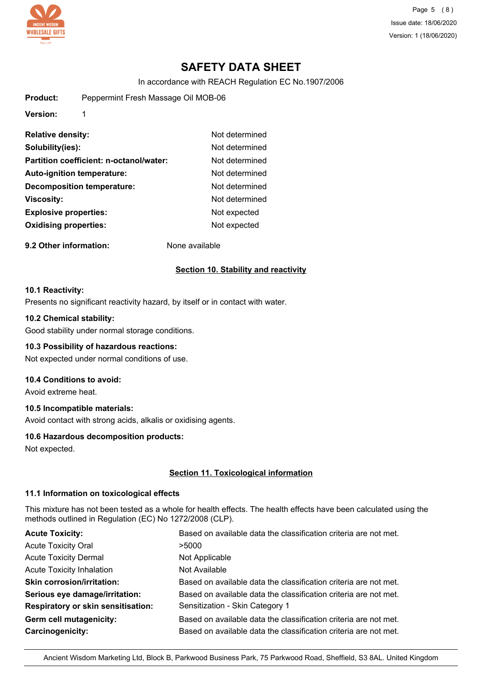

Page 5 (8) Issue date: 18/06/2020 Version: 1 (18/06/2020)

# **SAFETY DATA SHEET**

In accordance with REACH Regulation EC No.1907/2006

| <b>Product:</b> |  | Peppermint Fresh Massage Oil MOB-06 |  |
|-----------------|--|-------------------------------------|--|
|-----------------|--|-------------------------------------|--|

**Version:** 1

| <b>Relative density:</b>                | Not determined |
|-----------------------------------------|----------------|
| Solubility(ies):                        | Not determined |
| Partition coefficient: n-octanol/water: | Not determined |
| <b>Auto-ignition temperature:</b>       | Not determined |
| <b>Decomposition temperature:</b>       | Not determined |
| <b>Viscosity:</b>                       | Not determined |
| <b>Explosive properties:</b>            | Not expected   |
| <b>Oxidising properties:</b>            | Not expected   |
|                                         |                |

**9.2 Other information:** None available

#### **Section 10. Stability and reactivity**

#### **10.1 Reactivity:**

Presents no significant reactivity hazard, by itself or in contact with water.

#### **10.2 Chemical stability:**

Good stability under normal storage conditions.

#### **10.3 Possibility of hazardous reactions:**

Not expected under normal conditions of use.

#### **10.4 Conditions to avoid:**

Avoid extreme heat.

## **10.5 Incompatible materials:**

Avoid contact with strong acids, alkalis or oxidising agents.

#### **10.6 Hazardous decomposition products:**

Not expected.

#### **Section 11. Toxicological information**

#### **11.1 Information on toxicological effects**

This mixture has not been tested as a whole for health effects. The health effects have been calculated using the methods outlined in Regulation (EC) No 1272/2008 (CLP).

| <b>Acute Toxicity:</b>                    | Based on available data the classification criteria are not met. |
|-------------------------------------------|------------------------------------------------------------------|
| <b>Acute Toxicity Oral</b>                | >5000                                                            |
| <b>Acute Toxicity Dermal</b>              | Not Applicable                                                   |
| <b>Acute Toxicity Inhalation</b>          | Not Available                                                    |
| <b>Skin corrosion/irritation:</b>         | Based on available data the classification criteria are not met. |
| Serious eye damage/irritation:            | Based on available data the classification criteria are not met. |
| <b>Respiratory or skin sensitisation:</b> | Sensitization - Skin Category 1                                  |
| Germ cell mutagenicity:                   | Based on available data the classification criteria are not met. |
| Carcinogenicity:                          | Based on available data the classification criteria are not met. |
|                                           |                                                                  |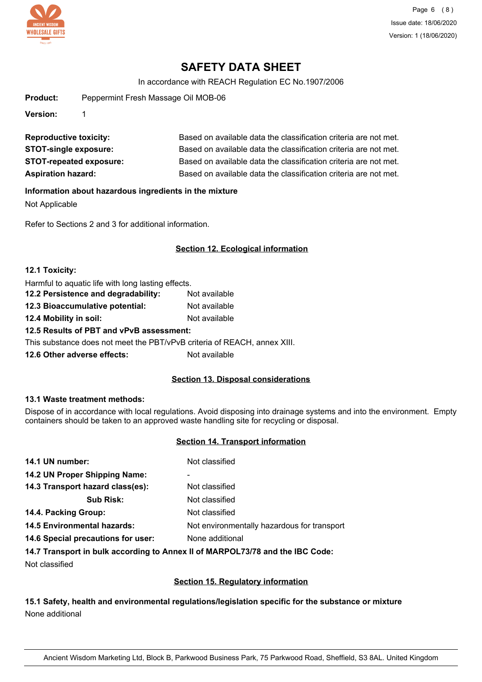

# **SAFETY DATA SHEET**

In accordance with REACH Regulation EC No.1907/2006

| <b>Product:</b> | Peppermint Fresh Massage Oil MOB-06 |
|-----------------|-------------------------------------|
|                 |                                     |

**Version:** 1

| <b>Reproductive toxicity:</b>  | Based on available data the classification criteria are not met. |
|--------------------------------|------------------------------------------------------------------|
| <b>STOT-single exposure:</b>   | Based on available data the classification criteria are not met. |
| <b>STOT-repeated exposure:</b> | Based on available data the classification criteria are not met. |
| <b>Aspiration hazard:</b>      | Based on available data the classification criteria are not met. |

#### **Information about hazardous ingredients in the mixture**

Not Applicable

Refer to Sections 2 and 3 for additional information.

## **Section 12. Ecological information**

| 12.1 Toxicity:                                                           |               |  |
|--------------------------------------------------------------------------|---------------|--|
| Harmful to aquatic life with long lasting effects.                       |               |  |
| 12.2 Persistence and degradability:<br>Not available                     |               |  |
| 12.3 Bioaccumulative potential:                                          | Not available |  |
| 12.4 Mobility in soil:                                                   | Not available |  |
| 12.5 Results of PBT and vPvB assessment:                                 |               |  |
| This substance does not meet the PBT/vPvB criteria of REACH, annex XIII. |               |  |
| 12.6 Other adverse effects:                                              | Not available |  |

## **Section 13. Disposal considerations**

#### **13.1 Waste treatment methods:**

Dispose of in accordance with local regulations. Avoid disposing into drainage systems and into the environment. Empty containers should be taken to an approved waste handling site for recycling or disposal.

# **Section 14. Transport information**

| 14.1 UN number:                    | Not classified                              |
|------------------------------------|---------------------------------------------|
| 14.2 UN Proper Shipping Name:      | ۰                                           |
| 14.3 Transport hazard class(es):   | Not classified                              |
| <b>Sub Risk:</b>                   | Not classified                              |
| 14.4. Packing Group:               | Not classified                              |
| <b>14.5 Environmental hazards:</b> | Not environmentally hazardous for transport |
| 14.6 Special precautions for user: | None additional                             |
|                                    |                                             |

## **14.7 Transport in bulk according to Annex II of MARPOL73/78 and the IBC Code:**

Not classified

## **Section 15. Regulatory information**

# **15.1 Safety, health and environmental regulations/legislation specific for the substance or mixture** None additional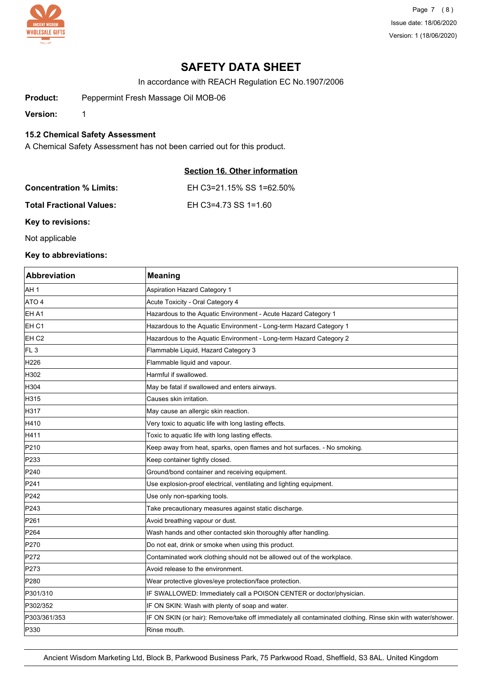

Page 7 (8) Issue date: 18/06/2020 Version: 1 (18/06/2020)

# **SAFETY DATA SHEET**

In accordance with REACH Regulation EC No.1907/2006

**Product:** Peppermint Fresh Massage Oil MOB-06

**Version:** 1

**15.2 Chemical Safety Assessment**

A Chemical Safety Assessment has not been carried out for this product.

# **Section 16. Other information**

| <b>Concentration % Limits:</b>  | EH C3=21.15% SS 1=62.50% |
|---------------------------------|--------------------------|
| <b>Total Fractional Values:</b> | EH C3=4.73 SS 1=1.60     |

**Key to revisions:**

Not applicable

# **Key to abbreviations:**

| <b>Abbreviation</b> | <b>Meaning</b>                                                                                             |
|---------------------|------------------------------------------------------------------------------------------------------------|
| AH 1                | <b>Aspiration Hazard Category 1</b>                                                                        |
| ATO <sub>4</sub>    | Acute Toxicity - Oral Category 4                                                                           |
| EH A1               | Hazardous to the Aquatic Environment - Acute Hazard Category 1                                             |
| EH C1               | Hazardous to the Aquatic Environment - Long-term Hazard Category 1                                         |
| EH C <sub>2</sub>   | Hazardous to the Aquatic Environment - Long-term Hazard Category 2                                         |
| FL <sub>3</sub>     | Flammable Liquid, Hazard Category 3                                                                        |
| H226                | Flammable liquid and vapour.                                                                               |
| H302                | Harmful if swallowed.                                                                                      |
| H304                | May be fatal if swallowed and enters airways.                                                              |
| H315                | Causes skin irritation.                                                                                    |
| H317                | May cause an allergic skin reaction.                                                                       |
| H410                | Very toxic to aquatic life with long lasting effects.                                                      |
| H411                | Toxic to aquatic life with long lasting effects.                                                           |
| P210                | Keep away from heat, sparks, open flames and hot surfaces. - No smoking.                                   |
| P233                | Keep container tightly closed.                                                                             |
| P240                | Ground/bond container and receiving equipment.                                                             |
| P241                | Use explosion-proof electrical, ventilating and lighting equipment.                                        |
| P242                | Use only non-sparking tools.                                                                               |
| P243                | Take precautionary measures against static discharge.                                                      |
| P261                | Avoid breathing vapour or dust.                                                                            |
| P264                | Wash hands and other contacted skin thoroughly after handling.                                             |
| P270                | Do not eat, drink or smoke when using this product.                                                        |
| P272                | Contaminated work clothing should not be allowed out of the workplace.                                     |
| P273                | Avoid release to the environment.                                                                          |
| P280                | Wear protective gloves/eye protection/face protection.                                                     |
| P301/310            | IF SWALLOWED: Immediately call a POISON CENTER or doctor/physician.                                        |
| P302/352            | IF ON SKIN: Wash with plenty of soap and water.                                                            |
| P303/361/353        | IF ON SKIN (or hair): Remove/take off immediately all contaminated clothing. Rinse skin with water/shower. |
| P330                | Rinse mouth.                                                                                               |